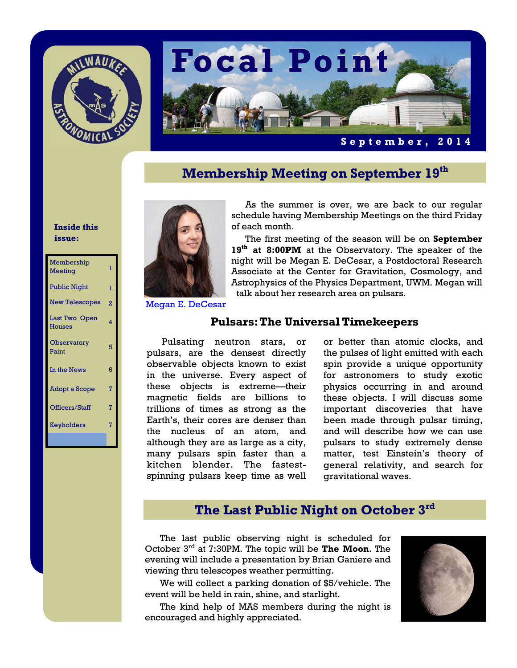



# **Membership Meeting on September 19th**

#### **Inside this issue:**

| Membership<br>Meeting          | 1 |
|--------------------------------|---|
| <b>Public Night</b>            | ı |
| <b>New Telescopes</b>          | 2 |
| Last Two Open<br><b>Houses</b> | 4 |
| Observatory<br>Paint           | 5 |
| In the News                    | 6 |
| <b>Adopt a Scope</b>           | 7 |
| Officers/Staff                 | 7 |
| Keyholders                     | 7 |
|                                |   |



As the summer is over, we are back to our regular schedule having Membership Meetings on the third Friday of each month.

 The first meeting of the season will be on **September**  19<sup>th</sup> at 8:00PM at the Observatory. The speaker of the night will be Megan E. DeCesar, a Postdoctoral Research Associate at the Center for Gravitation, Cosmology, and Astrophysics of the Physics Department, UWM. Megan will talk about her research area on pulsars.

Megan E. DeCesar

#### **Pulsars: The Universal Timekeepers**

Pulsating neutron stars, or pulsars, are the densest directly observable objects known to exist in the universe. Every aspect of these objects is extreme—their magnetic fields are billions to trillions of times as strong as the Earth's, their cores are denser than the nucleus of an atom, and although they are as large as a city, many pulsars spin faster than a kitchen blender. The fastestspinning pulsars keep time as well

or better than atomic clocks, and the pulses of light emitted with each spin provide a unique opportunity for astronomers to study exotic physics occurring in and around these objects. I will discuss some important discoveries that have been made through pulsar timing, and will describe how we can use pulsars to study extremely dense matter, test Einstein's theory of general relativity, and search for gravitational waves.

## **The Last Public Night on October 3rd**

 The last public observing night is scheduled for October 3rd at 7:30PM. The topic will be **The Moon**. The evening will include a presentation by Brian Ganiere and viewing thru telescopes weather permitting.

 We will collect a parking donation of \$5/vehicle. The event will be held in rain, shine, and starlight.

 The kind help of MAS members during the night is encouraged and highly appreciated.

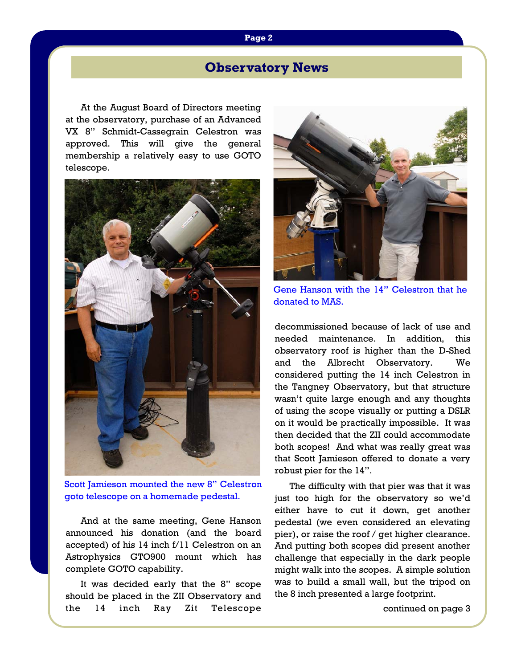## **Observatory News**

At the August Board of Directors meeting at the observatory, purchase of an Advanced VX 8" Schmidt-Cassegrain Celestron was approved. This will give the general membership a relatively easy to use GOTO telescope.



Scott Jamieson mounted the new 8" Celestron goto telescope on a homemade pedestal.

 And at the same meeting, Gene Hanson announced his donation (and the board accepted) of his 14 inch f/11 Celestron on an Astrophysics GTO900 mount which has complete GOTO capability.

 It was decided early that the 8" scope should be placed in the ZII Observatory and the 14 inch Ray Zit Telescope



Gene Hanson with the 14" Celestron that he donated to MAS.

decommissioned because of lack of use and needed maintenance. In addition, this observatory roof is higher than the D-Shed and the Albrecht Observatory. We considered putting the 14 inch Celestron in the Tangney Observatory, but that structure wasn't quite large enough and any thoughts of using the scope visually or putting a DSLR on it would be practically impossible. It was then decided that the ZII could accommodate both scopes! And what was really great was that Scott Jamieson offered to donate a very robust pier for the 14".

The difficulty with that pier was that it was just too high for the observatory so we'd either have to cut it down, get another pedestal (we even considered an elevating pier), or raise the roof / get higher clearance. And putting both scopes did present another challenge that especially in the dark people might walk into the scopes. A simple solution was to build a small wall, but the tripod on the 8 inch presented a large footprint.

continued on page 3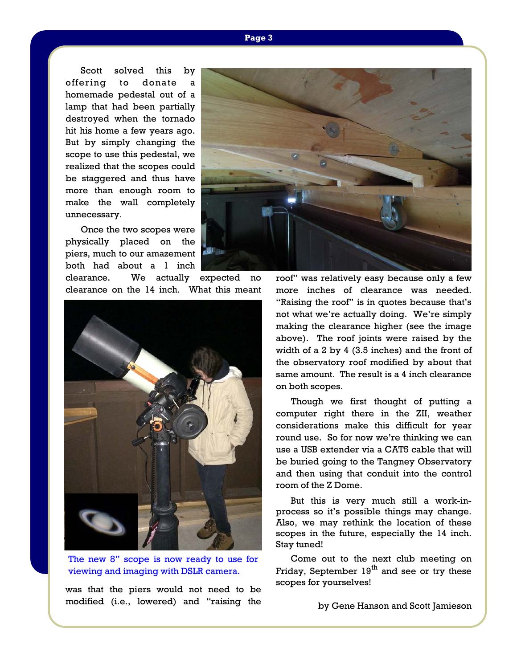Scott solved this by offering to donate a homemade pedestal out of a lamp that had been partially destroyed when the tornado hit his home a few years ago. But by simply changing the scope to use this pedestal, we realized that the scopes could be staggered and thus have more than enough room to make the wall completely unnecessary.

 Once the two scopes were physically placed on the piers, much to our amazement both had about a 1 inch



clearance. We actually expected no clearance on the 14 inch. What this meant



The new 8" scope is now ready to use for viewing and imaging with DSLR camera.

was that the piers would not need to be modified (i.e., lowered) and "raising the

roof" was relatively easy because only a few more inches of clearance was needed. "Raising the roof" is in quotes because that's not what we're actually doing. We're simply making the clearance higher (see the image above). The roof joints were raised by the width of a 2 by 4 (3.5 inches) and the front of the observatory roof modified by about that same amount. The result is a 4 inch clearance on both scopes.

 Though we first thought of putting a computer right there in the ZII, weather considerations make this difficult for year round use. So for now we're thinking we can use a USB extender via a CAT5 cable that will be buried going to the Tangney Observatory and then using that conduit into the control room of the Z Dome.

 But this is very much still a work-inprocess so it's possible things may change. Also, we may rethink the location of these scopes in the future, especially the 14 inch. Stay tuned!

 Come out to the next club meeting on Friday, September  $19<sup>th</sup>$  and see or try these scopes for yourselves!

by Gene Hanson and Scott Jamieson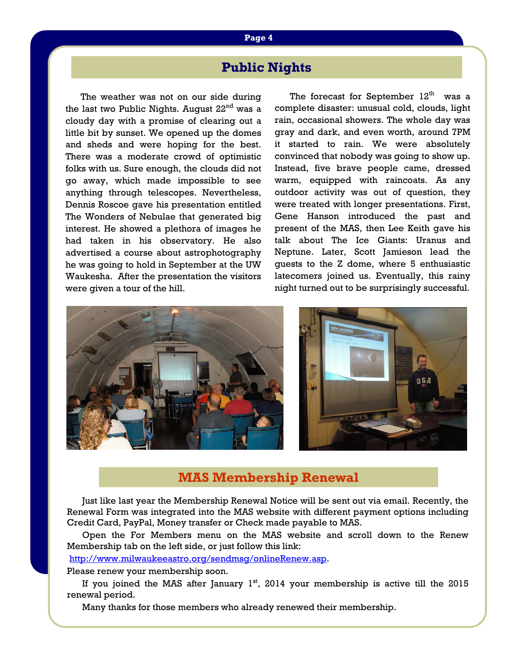# **Public Nights**

The weather was not on our side during the last two Public Nights. August  $22<sup>nd</sup>$  was a cloudy day with a promise of clearing out a little bit by sunset. We opened up the domes and sheds and were hoping for the best. There was a moderate crowd of optimistic folks with us. Sure enough, the clouds did not go away, which made impossible to see anything through telescopes. Nevertheless, Dennis Roscoe gave his presentation entitled The Wonders of Nebulae that generated big interest. He showed a plethora of images he had taken in his observatory. He also advertised a course about astrophotography he was going to hold in September at the UW Waukesha. After the presentation the visitors were given a tour of the hill.

The forecast for September  $12<sup>th</sup>$  was a complete disaster: unusual cold, clouds, light rain, occasional showers. The whole day was gray and dark, and even worth, around 7PM it started to rain. We were absolutely convinced that nobody was going to show up. Instead, five brave people came, dressed warm, equipped with raincoats. As any outdoor activity was out of question, they were treated with longer presentations. First, Gene Hanson introduced the past and present of the MAS, then Lee Keith gave his talk about The Ice Giants: Uranus and Neptune. Later, Scott Jamieson lead the guests to the Z dome, where 5 enthusiastic latecomers joined us. Eventually, this rainy night turned out to be surprisingly successful.





## **MAS Membership Renewal**

Just like last year the Membership Renewal Notice will be sent out via email. Recently, the Renewal Form was integrated into the MAS website with different payment options including Credit Card, PayPal, Money transfer or Check made payable to MAS.

 Open the For Members menu on the MAS website and scroll down to the Renew Membership tab on the left side, or just follow this link:

http://www.milwaukeeastro.org/sendmsg/onlineRenew.asp.

Please renew your membership soon.

If you joined the MAS after January  $1<sup>st</sup>$ , 2014 your membership is active till the 2015 renewal period.

Many thanks for those members who already renewed their membership.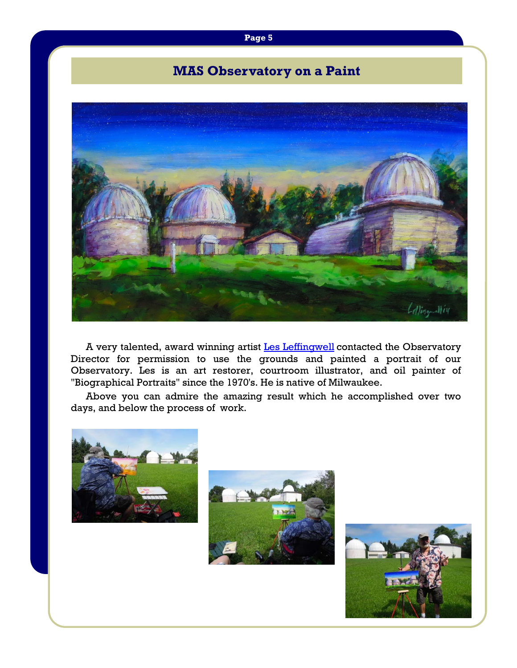# **MAS Observatory on a Paint**



A very talented, award winning artist Les Leffingwell contacted the Observatory Director for permission to use the grounds and painted a portrait of our Observatory. Les is an art restorer, courtroom illustrator, and oil painter of "Biographical Portraits" since the 1970's. He is native of Milwaukee.

 Above you can admire the amazing result which he accomplished over two days, and below the process of work.







#### **Page 5**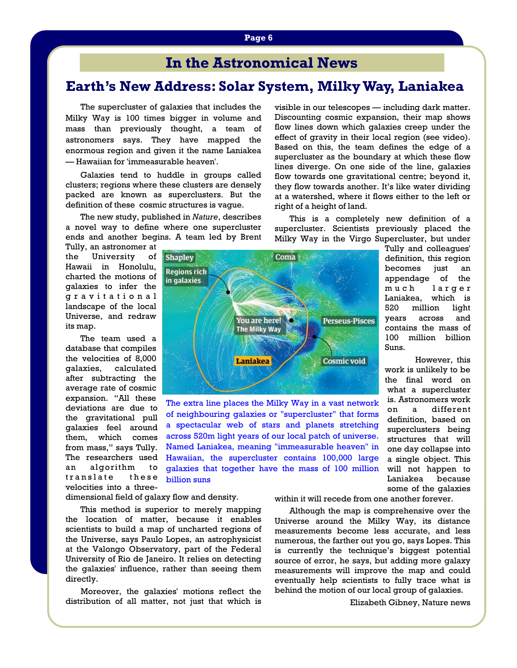# **In the Astronomical News**

## **Earth's New Address: Solar System, Milky Way, Laniakea**

The supercluster of galaxies that includes the Milky Way is 100 times bigger in volume and mass than previously thought, a team of astronomers says. They have mapped the enormous region and given it the name Laniakea — Hawaiian for 'immeasurable heaven'.

 Galaxies tend to huddle in groups called clusters; regions where these clusters are densely packed are known as superclusters. But the definition of these cosmic structures is vague.

 The new study, published in *Nature*, describes a novel way to define where one supercluster ends and another begins. A team led by Brent

Tully, an astronomer at the University of Hawaii in Honolulu, charted the motions of galaxies to infer the g r a v i t a t i o n a l landscape of the local Universe, and redraw its map.

The team used a database that compiles the velocities of 8,000 galaxies, calculated after subtracting the average rate of cosmic expansion. "All these deviations are due to the gravitational pull galaxies feel around them, which comes from mass," says Tully. The researchers used an algorithm to translate these velocities into a three-

dimensional field of galaxy flow and density.

 This method is superior to merely mapping the location of matter, because it enables scientists to build a map of uncharted regions of the Universe, says Paulo Lopes, an astrophysicist at the Valongo Observatory, part of the Federal University of Rio de Janeiro. It relies on detecting the galaxies' influence, rather than seeing them directly.

 Moreover, the galaxies' motions reflect the distribution of all matter, not just that which is visible in our telescopes — including dark matter. Discounting cosmic expansion, their map shows flow lines down which galaxies creep under the effect of gravity in their local region (see video). Based on this, the team defines the edge of a supercluster as the boundary at which these flow lines diverge. On one side of the line, galaxies flow towards one gravitational centre; beyond it, they flow towards another. It's like water dividing at a watershed, where it flows either to the left or right of a height of land.

 This is a completely new definition of a supercluster. Scientists previously placed the Milky Way in the Virgo Supercluster, but under

> Tully and colleagues' definition, this region becomes just an appendage of the much larger Laniakea, which is 520 million light years across and contains the mass of 100 million billion Suns.

> However, this work is unlikely to be the final word on what a supercluster is. Astronomers work on a different definition, based on superclusters being structures that will one day collapse into a single object. This will not happen to Laniakea because some of the galaxies



The extra line places the Milky Way in a vast network of neighbouring galaxies or "supercluster" that forms a spectacular web of stars and planets stretching across 520m light years of our local patch of universe. Named Laniakea, meaning "immeasurable heaven" in Hawaiian, the supercluster contains 100,000 large galaxies that together have the mass of 100 million billion suns

within it will recede from one another forever.

 Although the map is comprehensive over the Universe around the Milky Way, its distance measurements become less accurate, and less numerous, the farther out you go, says Lopes. This is currently the technique's biggest potential source of error, he says, but adding more galaxy measurements will improve the map and could eventually help scientists to fully trace what is behind the motion of our local group of galaxies.

Elizabeth Gibney, Nature news